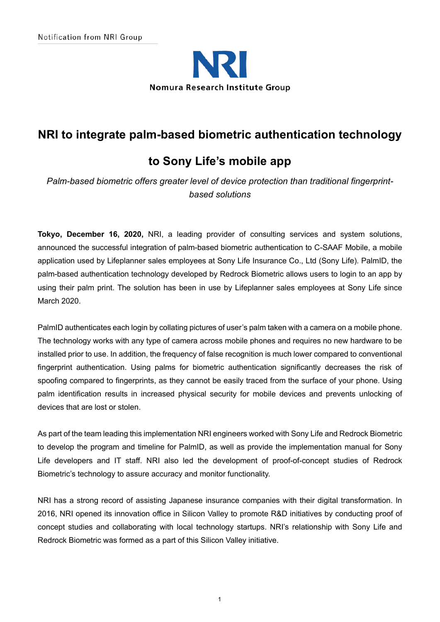

## **NRI to integrate palm-based biometric authentication technology**

# **to Sony Life's mobile app**

*Palm-based biometric offers greater level of device protection than traditional fingerprintbased solutions*

**Tokyo, December 16, 2020,** NRI, a leading provider of consulting services and system solutions, announced the successful integration of palm-based biometric authentication to C-SAAF Mobile, a mobile application used by Lifeplanner sales employees at Sony Life Insurance Co., Ltd (Sony Life). PalmID, the palm-based authentication technology developed by Redrock Biometric allows users to login to an app by using their palm print. The solution has been in use by Lifeplanner sales employees at Sony Life since March 2020.

PalmID authenticates each login by collating pictures of user's palm taken with a camera on a mobile phone. The technology works with any type of camera across mobile phones and requires no new hardware to be installed prior to use. In addition, the frequency of false recognition is much lower compared to conventional fingerprint authentication. Using palms for biometric authentication significantly decreases the risk of spoofing compared to fingerprints, as they cannot be easily traced from the surface of your phone. Using palm identification results in increased physical security for mobile devices and prevents unlocking of devices that are lost or stolen.

As part of the team leading this implementation NRI engineers worked with Sony Life and Redrock Biometric to develop the program and timeline for PalmID, as well as provide the implementation manual for Sony Life developers and IT staff. NRI also led the development of proof-of-concept studies of Redrock Biometric's technology to assure accuracy and monitor functionality.

NRI has a strong record of assisting Japanese insurance companies with their digital transformation. In 2016, NRI opened its innovation office in Silicon Valley to promote R&D initiatives by conducting proof of concept studies and collaborating with local technology startups. NRI's relationship with Sony Life and Redrock Biometric was formed as a part of this Silicon Valley initiative.

1